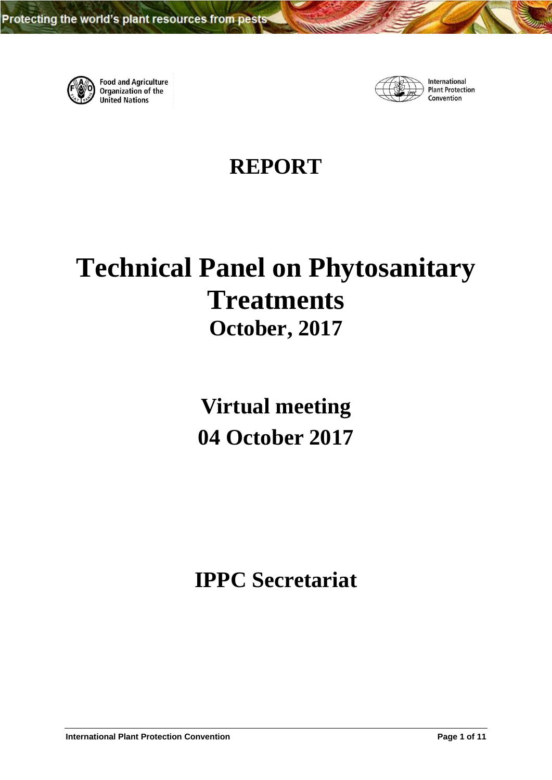

**Food and Agriculture**<br>Organization of the **United Nations** 



International **Plant Protection** Convention

# **REPORT**

# **Technical Panel on Phytosanitary Treatments October, 2017**

**Virtual meeting 04 October 2017**

**IPPC Secretariat**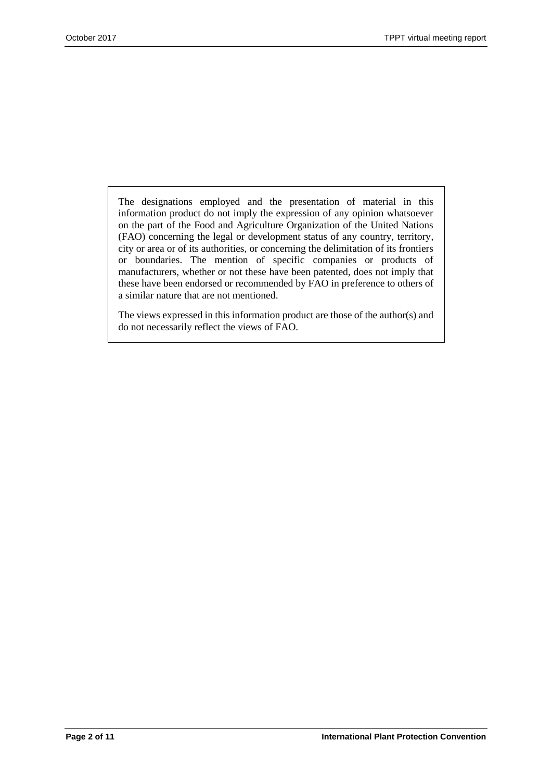The designations employed and the presentation of material in this information product do not imply the expression of any opinion whatsoever on the part of the Food and Agriculture Organization of the United Nations (FAO) concerning the legal or development status of any country, territory, city or area or of its authorities, or concerning the delimitation of its frontiers or boundaries. The mention of specific companies or products of manufacturers, whether or not these have been patented, does not imply that these have been endorsed or recommended by FAO in preference to others of a similar nature that are not mentioned.

The views expressed in this information product are those of the author(s) and do not necessarily reflect the views of FAO.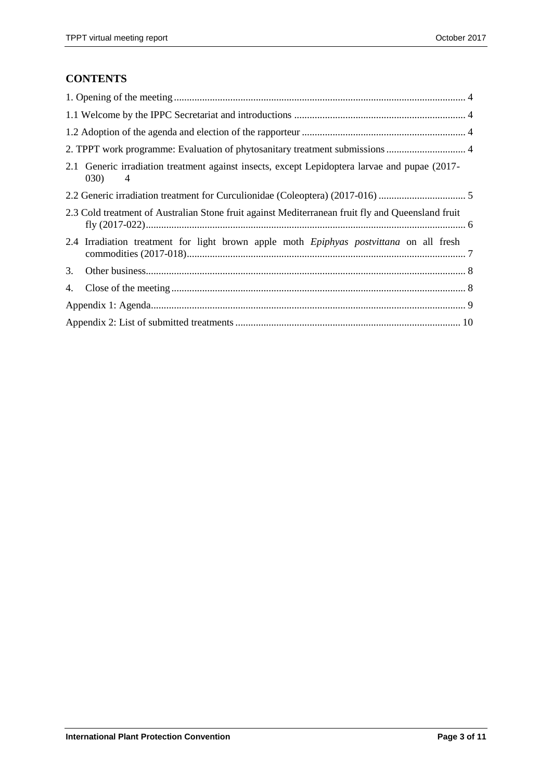#### **CONTENTS**

| 2.1 Generic irradiation treatment against insects, except Lepidoptera larvae and pupae (2017-<br>030)<br>$\overline{4}$ |
|-------------------------------------------------------------------------------------------------------------------------|
|                                                                                                                         |
| 2.3 Cold treatment of Australian Stone fruit against Mediterranean fruit fly and Queensland fruit                       |
| 2.4 Irradiation treatment for light brown apple moth Epiphyas postvittana on all fresh                                  |
| 3.                                                                                                                      |
| 4.                                                                                                                      |
|                                                                                                                         |
|                                                                                                                         |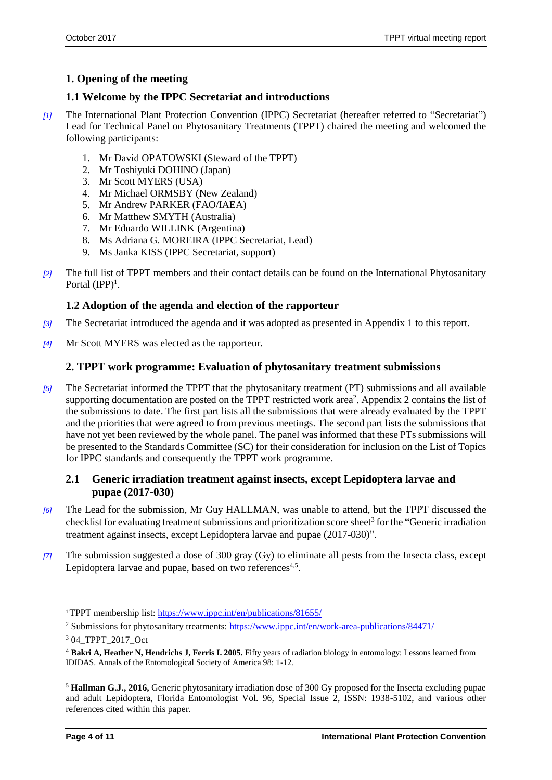#### <span id="page-3-0"></span>**1. Opening of the meeting**

#### <span id="page-3-1"></span>**1.1 Welcome by the IPPC Secretariat and introductions**

- *[1]* The International Plant Protection Convention (IPPC) Secretariat (hereafter referred to "Secretariat") Lead for Technical Panel on Phytosanitary Treatments (TPPT) chaired the meeting and welcomed the following participants:
	- 1. Mr David OPATOWSKI (Steward of the TPPT)
	- 2. Mr Toshiyuki DOHINO (Japan)
	- 3. Mr Scott MYERS (USA)
	- 4. Mr Michael ORMSBY (New Zealand)
	- 5. Mr Andrew PARKER (FAO/IAEA)
	- 6. Mr Matthew SMYTH (Australia)
	- 7. Mr Eduardo WILLINK (Argentina)
	- 8. Ms Adriana G. MOREIRA (IPPC Secretariat, Lead)
	- 9. Ms Janka KISS (IPPC Secretariat, support)
- *[2]* The full list of TPPT members and their contact details can be found on the International Phytosanitary Portal  $(IPP)^1$ .

#### <span id="page-3-2"></span>**1.2 Adoption of the agenda and election of the rapporteur**

- *[3]* The Secretariat introduced the agenda and it was adopted as presented in Appendix 1 to this report.
- *[4]* Mr Scott MYERS was elected as the rapporteur.

#### <span id="page-3-3"></span>**2. TPPT work programme: Evaluation of phytosanitary treatment submissions**

*[5]* The Secretariat informed the TPPT that the phytosanitary treatment (PT) submissions and all available supporting documentation are posted on the TPPT restricted work area<sup>2</sup>. Appendix 2 contains the list of the submissions to date. The first part lists all the submissions that were already evaluated by the TPPT and the priorities that were agreed to from previous meetings. The second part lists the submissions that have not yet been reviewed by the whole panel. The panel was informed that these PTs submissions will be presented to the Standards Committee (SC) for their consideration for inclusion on the List of Topics for IPPC standards and consequently the TPPT work programme.

#### <span id="page-3-4"></span>**2.1 Generic irradiation treatment against insects, except Lepidoptera larvae and pupae (2017-030)**

- *[6]* The Lead for the submission, Mr Guy HALLMAN, was unable to attend, but the TPPT discussed the checklist for evaluating treatment submissions and prioritization score sheet<sup>3</sup> for the "Generic irradiation treatment against insects, except Lepidoptera larvae and pupae (2017-030)".
- *[7]* The submission suggested a dose of 300 gray (Gy) to eliminate all pests from the Insecta class, except Lepidoptera larvae and pupae, based on two references<sup>4,5</sup>.

<sup>1</sup>TPPT membership list: https://www.ippc.int/en/publications/81655/

<sup>2</sup> Submissions for phytosanitary treatments[: https://www.ippc.int/en/work-area-publications/84471/](https://www.ippc.int/en/work-area-publications/84471/) 

<sup>3</sup> 04\_TPPT\_2017\_Oct

<sup>4</sup> **Bakri A, Heather N, Hendrichs J, Ferris I. 2005.** Fifty years of radiation biology in entomology: Lessons learned from IDIDAS. Annals of the Entomological Society of America 98: 1-12.

<sup>5</sup> **Hallman G.J., 2016,** Generic phytosanitary irradiation dose of 300 Gy proposed for the Insecta excluding pupae and adult Lepidoptera, Florida Entomologist Vol. 96, Special Issue 2, ISSN: 1938-5102, and various other references cited within this paper.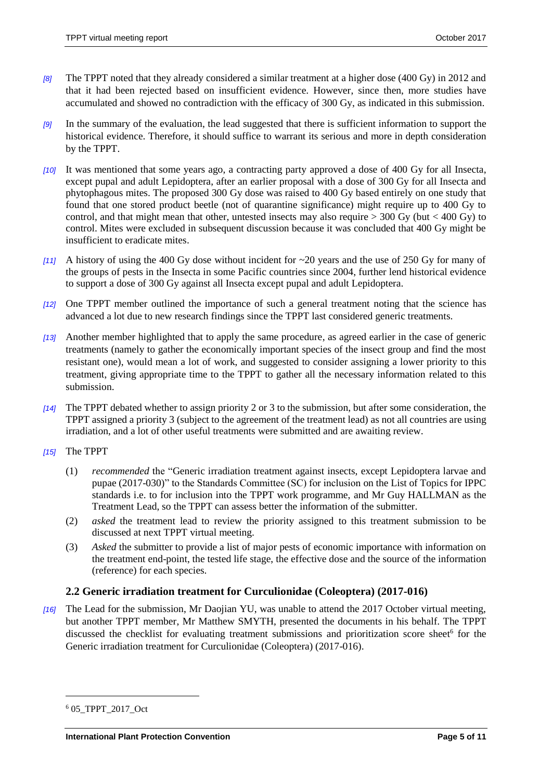- *[8]* The TPPT noted that they already considered a similar treatment at a higher dose (400 Gy) in 2012 and that it had been rejected based on insufficient evidence. However, since then, more studies have accumulated and showed no contradiction with the efficacy of 300 Gy, as indicated in this submission.
- *[9]* In the summary of the evaluation, the lead suggested that there is sufficient information to support the historical evidence. Therefore, it should suffice to warrant its serious and more in depth consideration by the TPPT.
- *[10]* It was mentioned that some years ago, a contracting party approved a dose of 400 Gy for all Insecta, except pupal and adult Lepidoptera, after an earlier proposal with a dose of 300 Gy for all Insecta and phytophagous mites. The proposed 300 Gy dose was raised to 400 Gy based entirely on one study that found that one stored product beetle (not of quarantine significance) might require up to 400 Gy to control, and that might mean that other, untested insects may also require > 300 Gy (but < 400 Gy) to control. Mites were excluded in subsequent discussion because it was concluded that 400 Gy might be insufficient to eradicate mites.
- *[11]* A history of using the 400 Gy dose without incident for ~20 years and the use of 250 Gy for many of the groups of pests in the Insecta in some Pacific countries since 2004, further lend historical evidence to support a dose of 300 Gy against all Insecta except pupal and adult Lepidoptera.
- *[12]* One TPPT member outlined the importance of such a general treatment noting that the science has advanced a lot due to new research findings since the TPPT last considered generic treatments.
- *[13]* Another member highlighted that to apply the same procedure, as agreed earlier in the case of generic treatments (namely to gather the economically important species of the insect group and find the most resistant one), would mean a lot of work, and suggested to consider assigning a lower priority to this treatment, giving appropriate time to the TPPT to gather all the necessary information related to this submission.
- *[14]* The TPPT debated whether to assign priority 2 or 3 to the submission, but after some consideration, the TPPT assigned a priority 3 (subject to the agreement of the treatment lead) as not all countries are using irradiation, and a lot of other useful treatments were submitted and are awaiting review.
- *[15]* The TPPT
	- (1) *recommended* the "Generic irradiation treatment against insects, except Lepidoptera larvae and pupae (2017-030)" to the Standards Committee (SC) for inclusion on the List of Topics for IPPC standards i.e. to for inclusion into the TPPT work programme, and Mr Guy HALLMAN as the Treatment Lead, so the TPPT can assess better the information of the submitter.
	- (2) *asked* the treatment lead to review the priority assigned to this treatment submission to be discussed at next TPPT virtual meeting.
	- (3) *Asked* the submitter to provide a list of major pests of economic importance with information on the treatment end-point, the tested life stage, the effective dose and the source of the information (reference) for each species.

#### <span id="page-4-0"></span>**2.2 Generic irradiation treatment for Curculionidae (Coleoptera) (2017-016)**

*[16]* The Lead for the submission, Mr Daojian YU, was unable to attend the 2017 October virtual meeting, but another TPPT member, Mr Matthew SMYTH, presented the documents in his behalf. The TPPT discussed the checklist for evaluating treatment submissions and prioritization score sheet<sup>6</sup> for the Generic irradiation treatment for Curculionidae (Coleoptera) (2017-016).

<sup>6</sup> 05\_TPPT\_2017\_Oct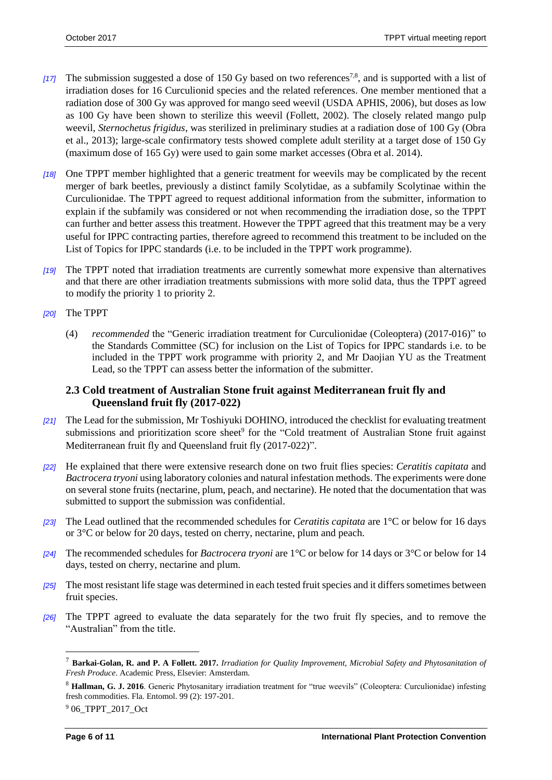- [17] The submission suggested a dose of 150 Gy based on two references<sup>7,8</sup>, and is supported with a list of irradiation doses for 16 Curculionid species and the related references. One member mentioned that a radiation dose of 300 Gy was approved for mango seed weevil (USDA APHIS, 2006), but doses as low as 100 Gy have been shown to sterilize this weevil (Follett, 2002). The closely related mango pulp weevil, *Sternochetus frigidus*, was sterilized in preliminary studies at a radiation dose of 100 Gy (Obra et al., 2013); large-scale confirmatory tests showed complete adult sterility at a target dose of 150 Gy (maximum dose of 165 Gy) were used to gain some market accesses (Obra et al. 2014).
- *[18]* One TPPT member highlighted that a generic treatment for weevils may be complicated by the recent merger of bark beetles, previously a distinct family Scolytidae, as a subfamily Scolytinae within the Curculionidae. The TPPT agreed to request additional information from the submitter, information to explain if the subfamily was considered or not when recommending the irradiation dose, so the TPPT can further and better assess this treatment. However the TPPT agreed that this treatment may be a very useful for IPPC contracting parties, therefore agreed to recommend this treatment to be included on the List of Topics for IPPC standards (i.e. to be included in the TPPT work programme).
- *[19]* The TPPT noted that irradiation treatments are currently somewhat more expensive than alternatives and that there are other irradiation treatments submissions with more solid data, thus the TPPT agreed to modify the priority 1 to priority 2.
- *[20]* The TPPT
	- (4) *recommended* the "Generic irradiation treatment for Curculionidae (Coleoptera) (2017-016)" to the Standards Committee (SC) for inclusion on the List of Topics for IPPC standards i.e. to be included in the TPPT work programme with priority 2, and Mr Daojian YU as the Treatment Lead, so the TPPT can assess better the information of the submitter.

#### <span id="page-5-0"></span>**2.3 Cold treatment of Australian Stone fruit against Mediterranean fruit fly and Queensland fruit fly (2017-022)**

- *[21]* The Lead for the submission, Mr Toshiyuki DOHINO, introduced the checklist for evaluating treatment submissions and prioritization score sheet<sup>9</sup> for the "Cold treatment of Australian Stone fruit against Mediterranean fruit fly and Queensland fruit fly (2017-022)".
- *[22]* He explained that there were extensive research done on two fruit flies species: *Ceratitis capitata* and *Bactrocera tryoni* using laboratory colonies and natural infestation methods. The experiments were done on several stone fruits (nectarine, plum, peach, and nectarine). He noted that the documentation that was submitted to support the submission was confidential.
- *[23]* The Lead outlined that the recommended schedules for *Ceratitis capitata* are 1°C or below for 16 days or 3°C or below for 20 days, tested on cherry, nectarine, plum and peach.
- *[24]* The recommended schedules for *Bactrocera tryoni* are 1°C or below for 14 days or 3°C or below for 14 days, tested on cherry, nectarine and plum.
- *[25]* The most resistant life stage was determined in each tested fruit species and it differs sometimes between fruit species.
- *[26]* The TPPT agreed to evaluate the data separately for the two fruit fly species, and to remove the "Australian" from the title.

l

<sup>7</sup> **Barkai-Golan, R. and P. A Follett. 2017.** *Irradiation for Quality Improvement, Microbial Safety and Phytosanitation of Fresh Produce*. Academic Press, Elsevier: Amsterdam.

<sup>&</sup>lt;sup>8</sup> Hallman, G. J. 2016. Generic Phytosanitary irradiation treatment for "true weevils" (Coleoptera: Curculionidae) infesting fresh commodities. Fla. Entomol. 99 (2): 197-201.

<sup>9</sup> 06\_TPPT\_2017\_Oct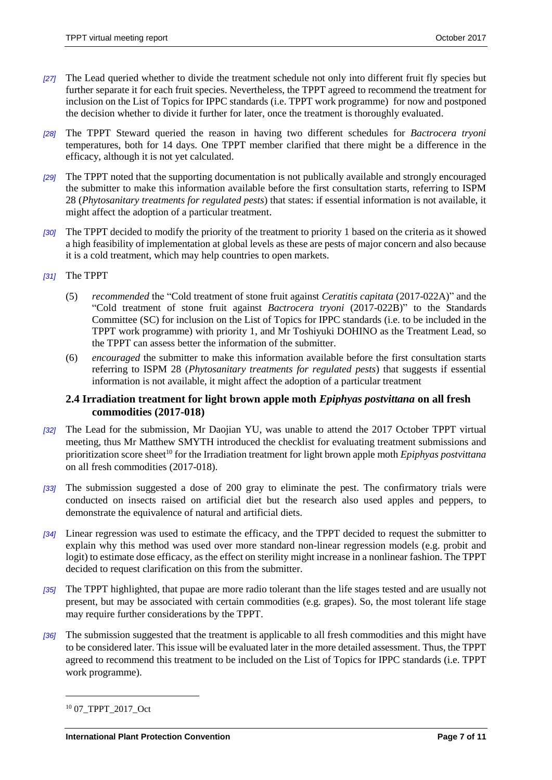- *[27]* The Lead queried whether to divide the treatment schedule not only into different fruit fly species but further separate it for each fruit species. Nevertheless, the TPPT agreed to recommend the treatment for inclusion on the List of Topics for IPPC standards (i.e. TPPT work programme) for now and postponed the decision whether to divide it further for later, once the treatment is thoroughly evaluated.
- *[28]* The TPPT Steward queried the reason in having two different schedules for *Bactrocera tryoni* temperatures, both for 14 days. One TPPT member clarified that there might be a difference in the efficacy, although it is not yet calculated.
- *[29]* The TPPT noted that the supporting documentation is not publically available and strongly encouraged the submitter to make this information available before the first consultation starts, referring to ISPM 28 (*Phytosanitary treatments for regulated pests*) that states: if essential information is not available, it might affect the adoption of a particular treatment.
- *[30]* The TPPT decided to modify the priority of the treatment to priority 1 based on the criteria as it showed a high feasibility of implementation at global levels as these are pests of major concern and also because it is a cold treatment, which may help countries to open markets.
- *[31]* The TPPT
	- (5) *recommended* the "Cold treatment of stone fruit against *Ceratitis capitata* (2017-022A)" and the "Cold treatment of stone fruit against *Bactrocera tryoni* (2017-022B)" to the Standards Committee (SC) for inclusion on the List of Topics for IPPC standards (i.e. to be included in the TPPT work programme) with priority 1, and Mr Toshiyuki DOHINO as the Treatment Lead, so the TPPT can assess better the information of the submitter.
	- (6) *encouraged* the submitter to make this information available before the first consultation starts referring to ISPM 28 (*Phytosanitary treatments for regulated pests*) that suggests if essential information is not available, it might affect the adoption of a particular treatment

#### <span id="page-6-0"></span>**2.4 Irradiation treatment for light brown apple moth** *Epiphyas postvittana* **on all fresh commodities (2017-018)**

- *[32]* The Lead for the submission, Mr Daojian YU, was unable to attend the 2017 October TPPT virtual meeting, thus Mr Matthew SMYTH introduced the checklist for evaluating treatment submissions and prioritization score sheet<sup>10</sup> for the Irradiation treatment for light brown apple moth *Epiphyas postvittana* on all fresh commodities (2017-018).
- *[33]* The submission suggested a dose of 200 gray to eliminate the pest. The confirmatory trials were conducted on insects raised on artificial diet but the research also used apples and peppers, to demonstrate the equivalence of natural and artificial diets.
- *[34]* Linear regression was used to estimate the efficacy, and the TPPT decided to request the submitter to explain why this method was used over more standard non-linear regression models (e.g. probit and logit) to estimate dose efficacy, as the effect on sterility might increase in a nonlinear fashion. The TPPT decided to request clarification on this from the submitter.
- *[35]* The TPPT highlighted, that pupae are more radio tolerant than the life stages tested and are usually not present, but may be associated with certain commodities (e.g. grapes). So, the most tolerant life stage may require further considerations by the TPPT.
- *[36]* The submission suggested that the treatment is applicable to all fresh commodities and this might have to be considered later. This issue will be evaluated later in the more detailed assessment. Thus, the TPPT agreed to recommend this treatment to be included on the List of Topics for IPPC standards (i.e. TPPT work programme).

<sup>10</sup> 07\_TPPT\_2017\_Oct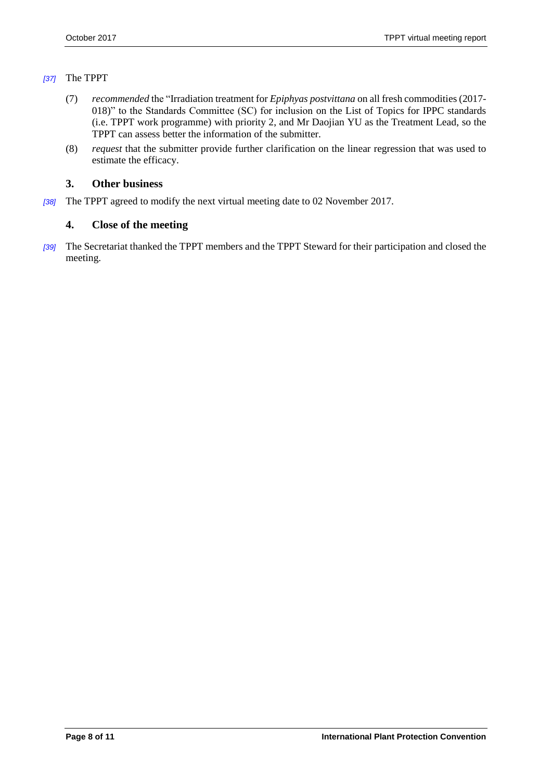#### *[37]* The TPPT

- (7) *recommended* the "Irradiation treatment for *Epiphyas postvittana* on all fresh commodities (2017- 018)" to the Standards Committee (SC) for inclusion on the List of Topics for IPPC standards (i.e. TPPT work programme) with priority 2, and Mr Daojian YU as the Treatment Lead, so the TPPT can assess better the information of the submitter.
- (8) *request* that the submitter provide further clarification on the linear regression that was used to estimate the efficacy.

#### <span id="page-7-0"></span>**3. Other business**

*[38]* The TPPT agreed to modify the next virtual meeting date to 02 November 2017.

#### <span id="page-7-1"></span>**4. Close of the meeting**

*[39]* The Secretariat thanked the TPPT members and the TPPT Steward for their participation and closed the meeting.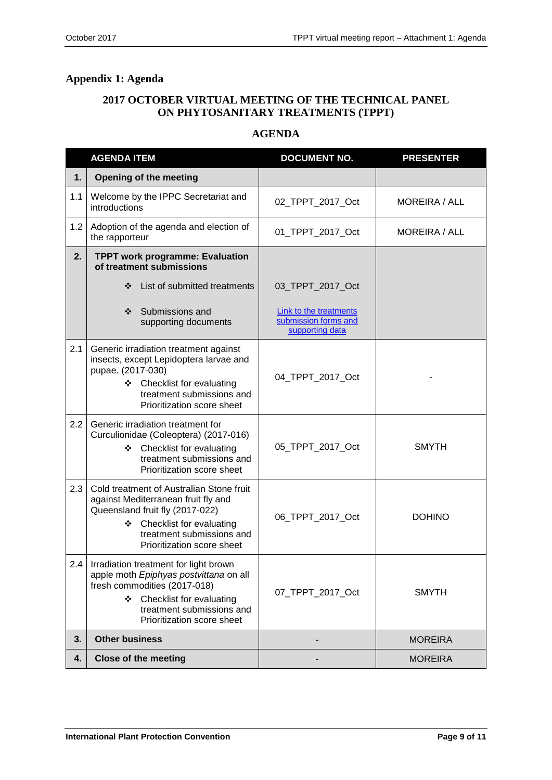## <span id="page-8-0"></span>**Appendix 1: Agenda**

### **2017 OCTOBER VIRTUAL MEETING OF THE TECHNICAL PANEL ON PHYTOSANITARY TREATMENTS (TPPT)**

#### **AGENDA**

| <b>AGENDA ITEM</b> |                                                                                                                                                                                                                | <b>DOCUMENT NO.</b>                                                      | <b>PRESENTER</b>     |  |  |
|--------------------|----------------------------------------------------------------------------------------------------------------------------------------------------------------------------------------------------------------|--------------------------------------------------------------------------|----------------------|--|--|
| 1.                 | <b>Opening of the meeting</b>                                                                                                                                                                                  |                                                                          |                      |  |  |
| 1.1                | Welcome by the IPPC Secretariat and<br>introductions                                                                                                                                                           | 02_TPPT_2017_Oct                                                         | <b>MOREIRA / ALL</b> |  |  |
| 1.2                | Adoption of the agenda and election of<br>the rapporteur                                                                                                                                                       | 01_TPPT_2017_Oct                                                         | MOREIRA / ALL        |  |  |
| 2.                 | <b>TPPT work programme: Evaluation</b><br>of treatment submissions                                                                                                                                             |                                                                          |                      |  |  |
|                    | List of submitted treatments<br>❖                                                                                                                                                                              | 03_TPPT_2017_Oct                                                         |                      |  |  |
|                    | Submissions and<br>❖<br>supporting documents                                                                                                                                                                   | <b>Link to the treatments</b><br>submission forms and<br>supporting data |                      |  |  |
| 2.1                | Generic irradiation treatment against<br>insects, except Lepidoptera larvae and<br>pupae. (2017-030)<br>Checklist for evaluating<br>❖<br>treatment submissions and<br>Prioritization score sheet               | 04_TPPT_2017_Oct                                                         |                      |  |  |
| 2.2                | Generic irradiation treatment for<br>Curculionidae (Coleoptera) (2017-016)<br>❖ Checklist for evaluating<br>treatment submissions and<br>Prioritization score sheet                                            | 05_TPPT_2017_Oct                                                         | <b>SMYTH</b>         |  |  |
| 2.3                | Cold treatment of Australian Stone fruit<br>against Mediterranean fruit fly and<br>Queensland fruit fly (2017-022)<br>Checklist for evaluating<br>※<br>treatment submissions and<br>Prioritization score sheet | 06_TPPT_2017_Oct                                                         | <b>DOHINO</b>        |  |  |
| 2.4                | Irradiation treatment for light brown<br>apple moth Epiphyas postvittana on all<br>fresh commodities (2017-018)<br>❖ Checklist for evaluating<br>treatment submissions and<br>Prioritization score sheet       | 07_TPPT_2017_Oct                                                         | <b>SMYTH</b>         |  |  |
| 3.                 | <b>Other business</b>                                                                                                                                                                                          |                                                                          | <b>MOREIRA</b>       |  |  |
| 4.                 | <b>Close of the meeting</b>                                                                                                                                                                                    |                                                                          | <b>MOREIRA</b>       |  |  |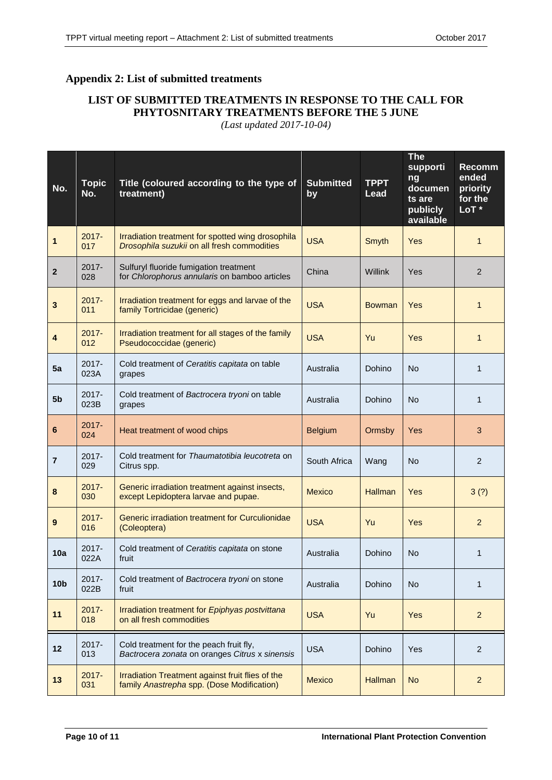#### <span id="page-9-0"></span>**Appendix 2: List of submitted treatments**

# **LIST OF SUBMITTED TREATMENTS IN RESPONSE TO THE CALL FOR PHYTOSNITARY TREATMENTS BEFORE THE 5 JUNE**

*(Last updated 2017-10-04)*

| No.              | <b>Topic</b><br>No. | Title (coloured according to the type of<br>treatment)                                           | <b>Submitted</b><br>by | <b>TPPT</b><br><b>Lead</b> | <b>The</b><br>supporti<br>ng<br>documen<br>ts are<br>publicly<br>available | <b>Recomm</b><br>ended<br>priority<br>for the<br>LoT* |
|------------------|---------------------|--------------------------------------------------------------------------------------------------|------------------------|----------------------------|----------------------------------------------------------------------------|-------------------------------------------------------|
| 1                | $2017 -$<br>017     | Irradiation treatment for spotted wing drosophila<br>Drosophila suzukii on all fresh commodities | <b>USA</b>             | Smyth                      | <b>Yes</b>                                                                 | $\mathbf{1}$                                          |
| $\boldsymbol{2}$ | $2017 -$<br>028     | Sulfuryl fluoride fumigation treatment<br>for Chlorophorus annularis on bamboo articles          | China                  | Willink                    | Yes                                                                        | 2                                                     |
| 3                | $2017 -$<br>011     | Irradiation treatment for eggs and larvae of the<br>family Tortricidae (generic)                 | <b>USA</b>             | <b>Bowman</b>              | <b>Yes</b>                                                                 | 1                                                     |
| 4                | $2017 -$<br>012     | Irradiation treatment for all stages of the family<br>Pseudococcidae (generic)                   | <b>USA</b>             | Yu                         | Yes                                                                        | 1                                                     |
| 5a               | $2017 -$<br>023A    | Cold treatment of Ceratitis capitata on table<br>grapes                                          | Australia              | Dohino                     | No                                                                         | 1                                                     |
| 5 <sub>b</sub>   | $2017 -$<br>023B    | Cold treatment of Bactrocera tryoni on table<br>grapes                                           | Australia              | Dohino                     | <b>No</b>                                                                  | 1                                                     |
| $6\phantom{1}6$  | $2017 -$<br>024     | Heat treatment of wood chips                                                                     | <b>Belgium</b>         | Ormsby                     | Yes                                                                        | 3                                                     |
| 7                | $2017 -$<br>029     | Cold treatment for Thaumatotibia leucotreta on<br>Citrus spp.                                    | South Africa           | Wang                       | No                                                                         | 2                                                     |
| $\boldsymbol{8}$ | $2017 -$<br>030     | Generic irradiation treatment against insects,<br>except Lepidoptera larvae and pupae.           | <b>Mexico</b>          | <b>Hallman</b>             | <b>Yes</b>                                                                 | 3(?)                                                  |
| $\boldsymbol{9}$ | $2017 -$<br>016     | Generic irradiation treatment for Curculionidae<br>(Coleoptera)                                  | <b>USA</b>             | Yu                         | Yes                                                                        | 2                                                     |
| 10a              | $2017 -$<br>022A    | Cold treatment of Ceratitis capitata on stone<br>fruit                                           | Australia              | Dohino                     | <b>No</b>                                                                  | 1                                                     |
| 10 <sub>b</sub>  | 2017-<br>022B       | Cold treatment of Bactrocera tryoni on stone<br>fruit                                            | Australia              | Dohino                     | <b>No</b>                                                                  | 1                                                     |
| 11               | $2017 -$<br>018     | Irradiation treatment for Epiphyas postvittana<br>on all fresh commodities                       | <b>USA</b>             | Yu                         | Yes                                                                        | $\overline{2}$                                        |
| 12               | 2017-<br>013        | Cold treatment for the peach fruit fly,<br>Bactrocera zonata on oranges Citrus x sinensis        | <b>USA</b>             | Dohino                     | Yes                                                                        | 2                                                     |
| 13               | $2017 -$<br>031     | Irradiation Treatment against fruit flies of the<br>family Anastrepha spp. (Dose Modification)   | <b>Mexico</b>          | <b>Hallman</b>             | <b>No</b>                                                                  | $\overline{c}$                                        |